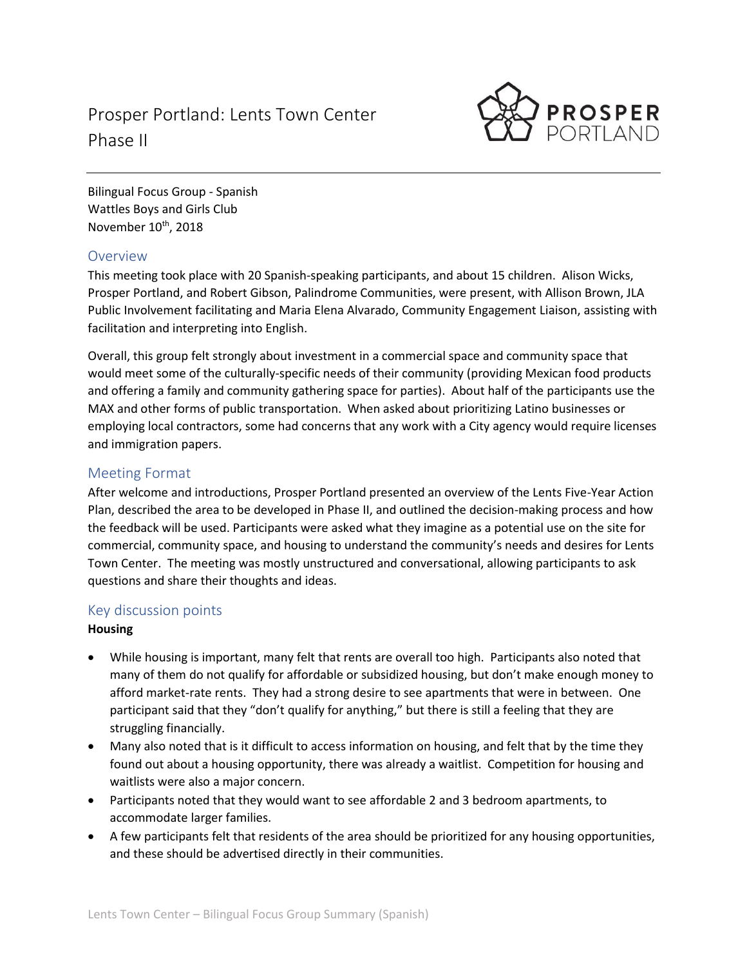# Prosper Portland: Lents Town Center Phase II



Bilingual Focus Group - Spanish Wattles Boys and Girls Club November 10<sup>th</sup>, 2018

## Overview

This meeting took place with 20 Spanish-speaking participants, and about 15 children. Alison Wicks, Prosper Portland, and Robert Gibson, Palindrome Communities, were present, with Allison Brown, JLA Public Involvement facilitating and Maria Elena Alvarado, Community Engagement Liaison, assisting with facilitation and interpreting into English.

Overall, this group felt strongly about investment in a commercial space and community space that would meet some of the culturally-specific needs of their community (providing Mexican food products and offering a family and community gathering space for parties). About half of the participants use the MAX and other forms of public transportation. When asked about prioritizing Latino businesses or employing local contractors, some had concerns that any work with a City agency would require licenses and immigration papers.

## Meeting Format

After welcome and introductions, Prosper Portland presented an overview of the Lents Five-Year Action Plan, described the area to be developed in Phase II, and outlined the decision-making process and how the feedback will be used. Participants were asked what they imagine as a potential use on the site for commercial, community space, and housing to understand the community's needs and desires for Lents Town Center. The meeting was mostly unstructured and conversational, allowing participants to ask questions and share their thoughts and ideas.

## Key discussion points

### **Housing**

- While housing is important, many felt that rents are overall too high. Participants also noted that many of them do not qualify for affordable or subsidized housing, but don't make enough money to afford market-rate rents. They had a strong desire to see apartments that were in between. One participant said that they "don't qualify for anything," but there is still a feeling that they are struggling financially.
- Many also noted that is it difficult to access information on housing, and felt that by the time they found out about a housing opportunity, there was already a waitlist. Competition for housing and waitlists were also a major concern.
- Participants noted that they would want to see affordable 2 and 3 bedroom apartments, to accommodate larger families.
- A few participants felt that residents of the area should be prioritized for any housing opportunities, and these should be advertised directly in their communities.